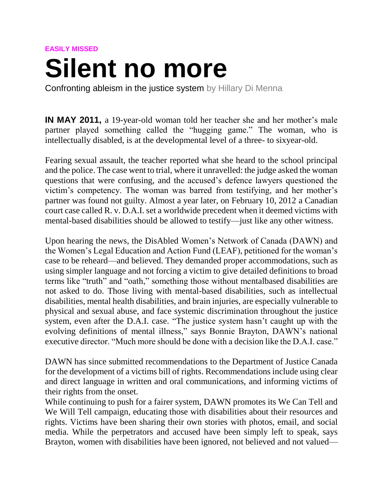## **EASILY MISSED**

## **Silent no more**

Confronting ableism in the justice system by Hillary Di Menna

**IN MAY 2011,** a 19-year-old woman told her teacher she and her mother's male partner played something called the "hugging game." The woman, who is intellectually disabled, is at the developmental level of a three- to sixyear-old.

Fearing sexual assault, the teacher reported what she heard to the school principal and the police. The case went to trial, where it unravelled: the judge asked the woman questions that were confusing, and the accused's defence lawyers questioned the victim's competency. The woman was barred from testifying, and her mother's partner was found not guilty. Almost a year later, on February 10, 2012 a Canadian court case called R. v. D.A.I. set a worldwide precedent when it deemed victims with mental-based disabilities should be allowed to testify—just like any other witness.

Upon hearing the news, the DisAbled Women's Network of Canada (DAWN) and the Women's Legal Education and Action Fund (LEAF), petitioned for the woman's case to be reheard—and believed. They demanded proper accommodations, such as using simpler language and not forcing a victim to give detailed definitions to broad terms like "truth" and "oath," something those without mentalbased disabilities are not asked to do. Those living with mental-based disabilities, such as intellectual disabilities, mental health disabilities, and brain injuries, are especially vulnerable to physical and sexual abuse, and face systemic discrimination throughout the justice system, even after the D.A.I. case. "The justice system hasn't caught up with the evolving definitions of mental illness," says Bonnie Brayton, DAWN's national executive director. "Much more should be done with a decision like the D A I case."

DAWN has since submitted recommendations to the Department of Justice Canada for the development of a victims bill of rights. Recommendations include using clear and direct language in written and oral communications, and informing victims of their rights from the onset.

While continuing to push for a fairer system, DAWN promotes its We Can Tell and We Will Tell campaign, educating those with disabilities about their resources and rights. Victims have been sharing their own stories with photos, email, and social media. While the perpetrators and accused have been simply left to speak, says Brayton, women with disabilities have been ignored, not believed and not valued